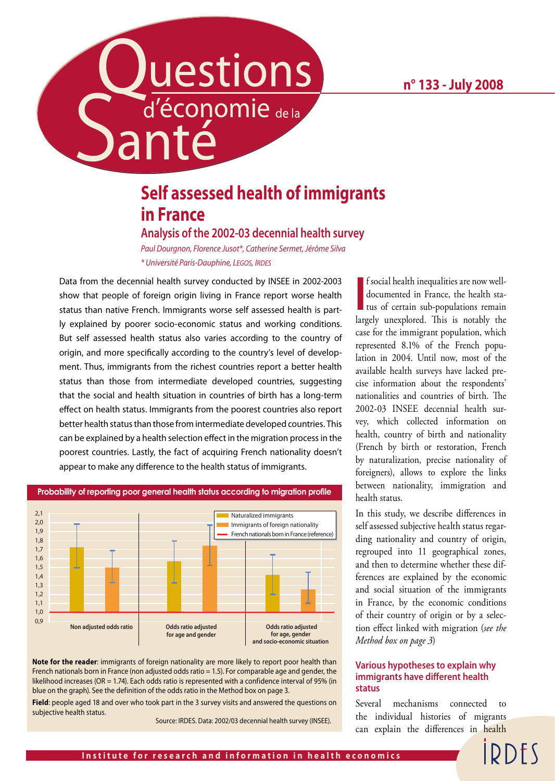# uestions Santé

## **Self assessed health of immigrants in France**

## **Analysis of the 2002-03 decennial health survey**

*Paul Dourgnon, Florence Jusot\*, Catherine Sermet, Jérôme Silva \* Université Paris-Dauphine, LEGOS, IRDES*

Data from the decennial health survey conducted by INSEE in 2002-2003 show that people of foreign origin living in France report worse health status than native French. Immigrants worse self assessed health is partly explained by poorer socio-economic status and working conditions. But self assessed health status also varies according to the country of origin, and more specifically according to the country's level of development. Thus, immigrants from the richest countries report a better health status than those from intermediate developed countries, suggesting that the social and health situation in countries of birth has a long-term effect on health status. Immigrants from the poorest countries also report better health status than those from intermediate developed countries. This can be explained by a health selection effect in the migration process in the poorest countries. Lastly, the fact of acquiring French nationality doesn't appear to make any difference to the health status of immigrants.



**Probability of reporting poor general health status according to migration profile**

**Note for the reader**: immigrants of foreign nationality are more likely to report poor health than French nationals born in France (non adjusted odds ratio = 1.5). For comparable age and gender, the likelihood increases (OR = 1.74). Each odds ratio is represented with a confidence interval of 95% (in blue on the graph). See the definition of the odds ratio in the Method box on page 3.

**Field**: people aged 18 and over who took part in the 3 survey visits and answered the questions on subjective health status.

Source: IRDES. Data: 2002/03 decennial health survey (INSEE).

**I** f social health inequalities are now well-<br>documented in France, the health sta-<br>tus of certain sub-populations remain f social health inequalities are now welldocumented in France, the health stalargely unexplored. This is notably the case for the immigrant population, which represented 8.1% of the French population in 2004. Until now, most of the available health surveys have lacked precise information about the respondents' nationalities and countries of birth. The 2002-03 INSEE decennial health survey, which collected information on health, country of birth and nationality (French by birth or restoration, French by naturalization, precise nationality of foreigners), allows to explore the links between nationality, immigration and health status.

In this study, we describe differences in self assessed subjective health status regarding nationality and country of origin, regrouped into 11 geographical zones, and then to determine whether these differences are explained by the economic and social situation of the immigrants in France, by the economic conditions of their country of origin or by a selection effect linked with migration (*see the Method box on page 3*)

### **Various hypotheses to explain why immigrants have different health status**

Several mechanisms connected to the individual histories of migrants can explain the differences in health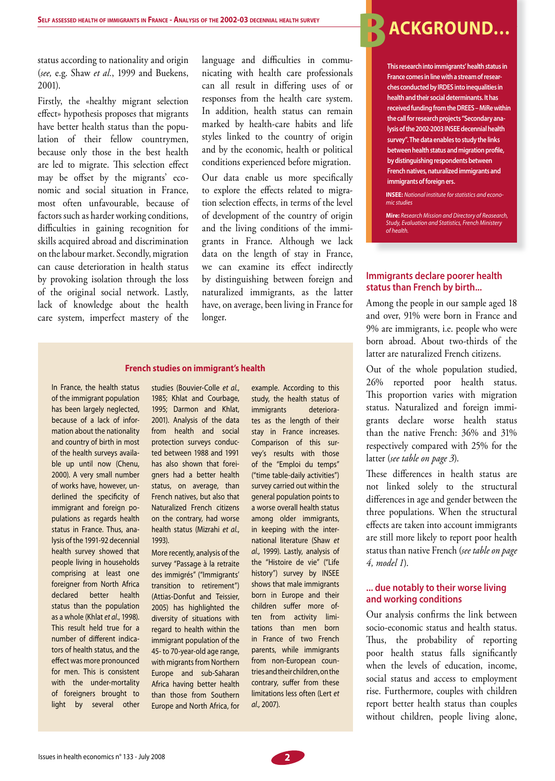status according to nationality and origin (*see,* e.g. Shaw *et al.*, 1999 and Buekens, 2001).

Firstly, the «healthy migrant selection effect» hypothesis proposes that migrants have better health status than the population of their fellow countrymen, because only those in the best health are led to migrate. This selection effect may be offset by the migrants' economic and social situation in France, most often unfavourable, because of factors such as harder working conditions, difficulties in gaining recognition for skills acquired abroad and discrimination on the labour market. Secondly, migration can cause deterioration in health status by provoking isolation through the loss of the original social network. Lastly, lack of knowledge about the health care system, imperfect mastery of the

language and difficulties in communicating with health care professionals can all result in differing uses of or responses from the health care system. In addition, health status can remain marked by health-care habits and life styles linked to the country of origin and by the economic, health or political conditions experienced before migration.

Our data enable us more specifically to explore the effects related to migration selection effects, in terms of the level of development of the country of origin and the living conditions of the immigrants in France. Although we lack data on the length of stay in France, we can examine its effect indirectly by distinguishing between foreign and naturalized immigrants, as the latter have, on average, been living in France for longer.

#### **French studies on immigrant's health**

In France, the health status of the immigrant population has been largely neglected, because of a lack of information about the nationality and country of birth in most of the health surveys available up until now (Chenu, 2000). A very small number of works have, however, underlined the specificity of immigrant and foreign populations as regards health status in France. Thus, analysis of the 1991-92 decennial health survey showed that people living in households comprising at least one foreigner from North Africa declared better health status than the population as a whole (Khlat *et al.*, 1998). This result held true for a number of different indicators of health status, and the effect was more pronounced for men. This is consistent with the under-mortality of foreigners brought to light by several other

studies (Bouvier-Colle *et al.*, 1985; Khlat and Courbage, 1995; Darmon and Khlat, 2001). Analysis of the data from health and social protection surveys conducted between 1988 and 1991 has also shown that foreigners had a better health status, on average, than French natives, but also that Naturalized French citizens on the contrary, had worse health status (Mizrahi *et al.*, 1993).

More recently, analysis of the survey "Passage à la retraite des immigrés" ("Immigrants' transition to retirement") (Attias-Donfut and Teissier, 2005) has highlighted the diversity of situations with regard to health within the immigrant population of the 45- to 70-year-old age range, with migrants from Northern Europe and sub-Saharan Africa having better health than those from Southern Europe and North Africa, for example. According to this study, the health status of immigrants deteriorates as the length of their stay in France increases. Comparison of this survey's results with those of the "Emploi du temps" ("time table-daily activities") survey carried out within the general population points to a worse overall health status among older immigrants, in keeping with the international literature (Shaw *et al.,* 1999). Lastly, analysis of the "Histoire de vie" ("Life history") survey by INSEE shows that male immigrants born in Europe and their children suffer more often from activity limitations than men born in France of two French parents, while immigrants from non-European countries and their children, on the contrary, suffer from these limitations less often (Lert *et al.,* 2007).

# **B**ACKGROUND...

**This research into immigrants' health status in France comes in line with a stream of researches conducted by IRDES into inequalities in health and their social determinants. It has received funding from the DREES – MiRe within the call for research projects "Secondary analysis of the 2002-2003 INSEE decennial health survey". The data enables to study the links**  between health status and migration profile, **by distinguishing respondents between French natives, naturalized immigrants and immigrants of foreign ers.**

**INSEE:** *National institute for statistics and economic studies*

**Mire:** *Research Mission and Directory of Reasearch, Study, Evaluation and Statistics, French Ministery of health.*

#### **Immigrants declare poorer health status than French by birth...**

Among the people in our sample aged 18 and over, 91% were born in France and 9% are immigrants, i.e. people who were born abroad. About two-thirds of the latter are naturalized French citizens.

Out of the whole population studied, 26% reported poor health status. This proportion varies with migration status. Naturalized and foreign immigrants declare worse health status than the native French: 36% and 31% respectively compared with 25% for the latter (*see table on page 3*).

These differences in health status are not linked solely to the structural differences in age and gender between the three populations. When the structural effects are taken into account immigrants are still more likely to report poor health status than native French (*see table on page 4, model 1*).

#### **... due notably to their worse living and working conditions**

Our analysis confirms the link between socio-economic status and health status. Thus, the probability of reporting poor health status falls significantly when the levels of education, income, social status and access to employment rise. Furthermore, couples with children report better health status than couples without children, people living alone,

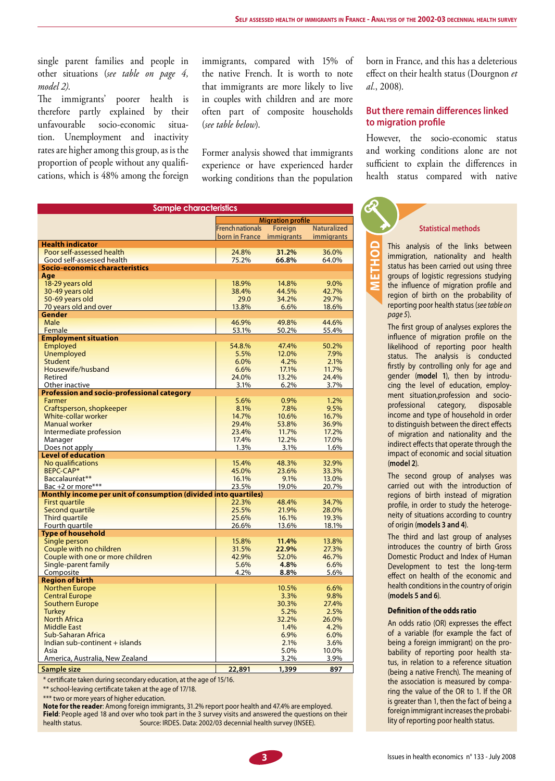single parent families and people in other situations (*see table on page 4, model 2)*.

The immigrants' poorer health is therefore partly explained by their unfavourable socio-economic situation. Unemployment and inactivity rates are higher among this group, as is the proportion of people without any qualifications, which is 48% among the foreign immigrants, compared with 15% of the native French. It is worth to note that immigrants are more likely to live in couples with children and are more often part of composite households (*see table below*).

Former analysis showed that immigrants experience or have experienced harder working conditions than the population

born in France, and this has a deleterious effect on their health status (Dourgnon *et al.*, 2008).

### **But there remain differences linked to migration profile**

However, the socio-economic status and working conditions alone are not sufficient to explain the differences in health status compared with native

|                                                                 |                           | <b>Migration profile</b> |                    |  |  |  |  |  |
|-----------------------------------------------------------------|---------------------------|--------------------------|--------------------|--|--|--|--|--|
|                                                                 | <b>French nationals</b>   | <b>Foreign</b>           | <b>Naturalized</b> |  |  |  |  |  |
|                                                                 | born in France immigrants |                          | <i>immigrants</i>  |  |  |  |  |  |
| <b>Health indicator</b>                                         |                           |                          |                    |  |  |  |  |  |
| Poor self-assessed health                                       | 24.8%                     | 31.2%                    | 36.0%              |  |  |  |  |  |
| Good self-assessed health                                       | 75.2%                     | 66.8%                    | 64.0%              |  |  |  |  |  |
| Socio-economic characteristics                                  |                           |                          |                    |  |  |  |  |  |
| Aae                                                             |                           |                          |                    |  |  |  |  |  |
| 18-29 years old                                                 | 18.9%                     | 14.8%                    | 9.0%               |  |  |  |  |  |
| 30-49 years old                                                 | 38.4%                     | 44.5%                    | 42.7%              |  |  |  |  |  |
| 50-69 years old                                                 | 29.0                      | 34.2%                    | 29.7%              |  |  |  |  |  |
| 70 years old and over                                           | 13.8%                     | 6.6%                     | 18.6%              |  |  |  |  |  |
| Gender                                                          |                           |                          |                    |  |  |  |  |  |
| Male                                                            | 46.9%                     | 49.8%                    | 44.6%              |  |  |  |  |  |
| Female                                                          | 53.1%                     | 50.2%                    | 55.4%              |  |  |  |  |  |
| <b>Employment situation</b>                                     |                           |                          |                    |  |  |  |  |  |
| Employed                                                        | 54.8.%                    | 47.4%                    | 50.2%              |  |  |  |  |  |
| <b>Unemployed</b>                                               | 5.5%                      | 12.0%                    | 7.9%               |  |  |  |  |  |
| Student                                                         | 6.0%                      | 4.2%                     | 2.1%               |  |  |  |  |  |
| Housewife/husband                                               | 6.6%                      | 17.1%                    | 11.7%              |  |  |  |  |  |
| Retired                                                         | 24.0%                     | 13.2%                    | 24.4%              |  |  |  |  |  |
| Other inactive                                                  | 3.1%                      | 6.2%                     | 3.7%               |  |  |  |  |  |
| <b>Profession and socio-professional category</b>               |                           |                          |                    |  |  |  |  |  |
| Farmer                                                          | 5.6%                      | 0.9%                     | 1.2%               |  |  |  |  |  |
| Craftsperson, shopkeeper                                        | 8.1%                      | 7.8%                     | 9.5%               |  |  |  |  |  |
| White-collar worker                                             | 14.7%                     | 10.6%                    | 16.7%              |  |  |  |  |  |
| <b>Manual worker</b>                                            | 29.4%                     | 53.8%                    | 36.9%              |  |  |  |  |  |
| Intermediate profession                                         | 23.4%                     | 11.7%                    | 17.2%              |  |  |  |  |  |
| Manager                                                         | 17.4%                     | 12.2%                    | 17.0%              |  |  |  |  |  |
| Does not apply                                                  | 1.3%                      | 3.1%                     | 1.6%               |  |  |  |  |  |
| <b>Level of education</b>                                       |                           |                          |                    |  |  |  |  |  |
| No qualifications                                               | 15.4%                     | 48.3%                    | 32.9%              |  |  |  |  |  |
| BEPC-CAP*                                                       | 45.0%                     | 23.6%                    | 33.3%              |  |  |  |  |  |
| Baccalauréat**                                                  | 16.1%                     | 9.1%                     | 13.0%              |  |  |  |  |  |
| Bac +2 or more***                                               | 23.5%                     | 19.0%                    | 20.7%              |  |  |  |  |  |
| Monthly income per unit of consumption (divided into quartiles) |                           |                          |                    |  |  |  |  |  |
| <b>First quartile</b>                                           | 22.3%                     | 48.4%                    | 34.7%              |  |  |  |  |  |
| Second quartile                                                 | 25.5%                     | 21.9%                    | 28.0%              |  |  |  |  |  |
| Third quartile                                                  | 25.6%                     | 16.1%                    | 19.3%              |  |  |  |  |  |
| Fourth quartile                                                 | 26.6%                     | 13.6%                    | 18.1%              |  |  |  |  |  |
| <b>Type of household</b>                                        |                           |                          |                    |  |  |  |  |  |
| Single person                                                   | 15.8%                     | 11.4%                    | 13.8%              |  |  |  |  |  |
| Couple with no children                                         | 31.5%                     | 22.9%                    | 27.3%              |  |  |  |  |  |
| Couple with one or more children                                | 42.9%                     | 52.0%                    | 46.7%              |  |  |  |  |  |
| Single-parent family                                            | 5.6%                      | 4.8%                     | 6.6%               |  |  |  |  |  |
| Composite                                                       | 4.2%                      | 8.8%                     | 5.6%               |  |  |  |  |  |
| <b>Region of birth</b>                                          |                           |                          |                    |  |  |  |  |  |
| <b>Northen Europe</b>                                           |                           | 10.5%                    | 6.6%               |  |  |  |  |  |
| <b>Central Europe</b>                                           |                           | 3.3%                     | 9.8%               |  |  |  |  |  |
| <b>Southern Europe</b>                                          |                           | 30.3%                    | 27.4%              |  |  |  |  |  |
| <b>Turkey</b>                                                   |                           | 5.2%                     | 2.5%               |  |  |  |  |  |
| North Africa                                                    |                           | 32.2%                    | 26.0%              |  |  |  |  |  |
| <b>Middle East</b>                                              |                           | 1.4%                     | 4.2%               |  |  |  |  |  |
| Sub-Saharan Africa                                              |                           | 6.9%                     | 6.0%               |  |  |  |  |  |
| Indian sub-continent + islands                                  |                           | 2.1%                     | 3.6%               |  |  |  |  |  |
| Asia                                                            |                           | 5.0%                     | 10.0%              |  |  |  |  |  |
| America, Australia, New Zealand                                 |                           | 3.2%                     | 3.9%               |  |  |  |  |  |

**Sample size 22,891 1,399 897**

\* certificate taken during secondary education, at the age of 15/16.

\*\* school-leaving certificate taken at the age of 17/18.

\*\*\* two or more years of higher education.

**Note for the reader**: Among foreign immigrants, 31.2% report poor health and 47.4% are employed. **Field**: People aged 18 and over who took part in the 3 survey visits and answered the questions on their health status. Source: IRDES. Data: 2002/03 decennial health survey (INSEE).

**method**

#### **Statistical methods**

This analysis of the links between immigration, nationality and health status has been carried out using three groups of logistic regressions studying the influence of migration profile and region of birth on the probability of reporting poor health status (*see table on page 5*).

The first group of analyses explores the influence of migration profile on the likelihood of reporting poor health status. The analysis is conducted firstly by controlling only for age and gender (**model 1**), then by introducing the level of education, employment situation,profession and socioprofessional category, disposable income and type of household in order to distinguish between the direct effects of migration and nationality and the indirect effects that operate through the impact of economic and social situation (**model 2**).

The second group of analyses was carried out with the introduction of regions of birth instead of migration profile, in order to study the heterogeneity of situations according to country of origin (**models 3 and 4**).

The third and last group of analyses introduces the country of birth Gross Domestic Product and Index of Human Development to test the long-term effect on health of the economic and health conditions in the country of origin (**models 5 and 6**).

#### **Definition of the odds ratio**

An odds ratio (OR) expresses the effect of a variable (for example the fact of being a foreign immigrant) on the probability of reporting poor health status, in relation to a reference situation (being a native French). The meaning of the association is measured by comparing the value of the OR to 1. If the OR is greater than 1, then the fact of being a foreign immigrant increases the probability of reporting poor health status.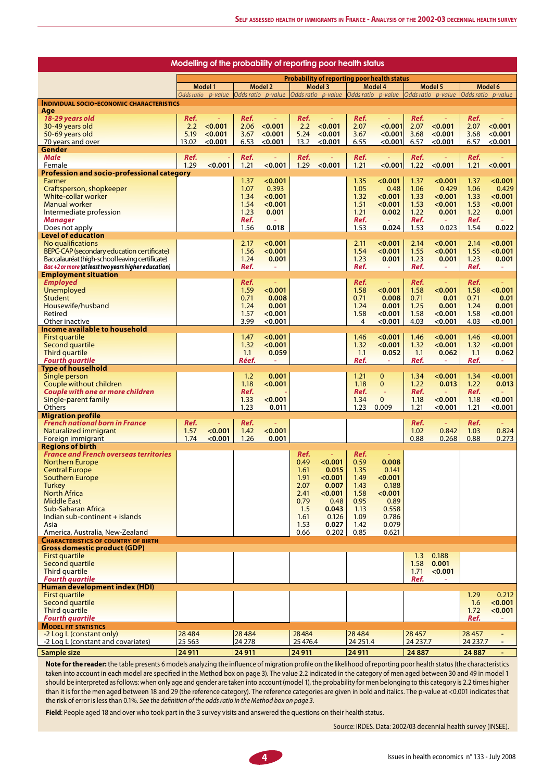| Modelling of the probability of reporting poor health status      |                                                    |                          |                |                    |              |                                       |                      |                    |                     |                                       |              |                               |
|-------------------------------------------------------------------|----------------------------------------------------|--------------------------|----------------|--------------------|--------------|---------------------------------------|----------------------|--------------------|---------------------|---------------------------------------|--------------|-------------------------------|
|                                                                   | <b>Probability of reporting poor health status</b> |                          |                |                    |              |                                       |                      |                    |                     |                                       |              |                               |
|                                                                   | Model 1                                            |                          | <b>Model 2</b> |                    | Model 3      |                                       | Model 4              |                    | Model 5             |                                       | Model 6      |                               |
|                                                                   |                                                    | Odds ratio p-value       |                | Odds ratio p-value |              | Odds ratio p-value Odds ratio p-value |                      |                    |                     | Odds ratio p-value Odds ratio p-value |              |                               |
| <b>INDIVIDUAL SOCIO-ECONOMIC CHARACTERISTICS</b><br>Age           |                                                    |                          |                |                    |              |                                       |                      |                    |                     |                                       |              |                               |
| 18-29 vears old                                                   | Ref.                                               | Ξ                        | Ref.           | $\equiv$           | Ref.         | $\equiv$                              | Ref.                 | $\sim$             | Ref.                | $\Box$                                | Ref.         | ÷                             |
| 30-49 years old                                                   | 2.2                                                | < 0.001                  | 2.06           | < 0.001            | 2.2          | < 0.001                               | 2.07                 | < 0.001            | 2.07                | < 0.001                               | 2.07         | < 0.001                       |
| 50-69 years old                                                   | 5.19<br>13.02                                      | < 0.001<br>< 0.001       | 3.67           | < 0.001<br>< 0.001 | 5.24         | < 0.001<br>< 0.001                    | 3.67<br>6.55         | < 0.001<br>< 0.001 | 3.68<br>6.57        | < 0.001<br>< 0.001                    | 3.68         | < 0.001<br>< 0.001            |
| 70 years and over<br>Gender                                       |                                                    |                          | 6.53           |                    | 13.2         |                                       |                      |                    |                     |                                       | 6.57         |                               |
| <b>Male</b>                                                       | Ref.                                               |                          | Ref.           | $\equiv$           | Ref.         |                                       | Ref.                 | $\sim$             | Ref.                |                                       | Ref.         |                               |
| Female                                                            | 1.29                                               | < 0.001                  | 1.21           | < 0.001            | 1.29         | < 0.001                               | 1.21                 | < 0.001            | 1.22                | < 0.001                               | 1.21         | < 0.001                       |
| <b>Profession and socio-professional category</b>                 |                                                    |                          |                |                    |              |                                       |                      |                    |                     |                                       |              |                               |
| Farmer<br>Craftsperson, shopkeeper                                |                                                    |                          | 1.37<br>1.07   | < 0.001<br>0.393   |              |                                       | 1.35<br>1.05         | < 0.001<br>0.48    | 1.37<br>1.06        | < 0.001<br>0.429                      | 1.37<br>1.06 | < 0.001<br>0.429              |
| White-collar worker                                               |                                                    |                          | 1.34           | < 0.001            |              |                                       | 1.32                 | < 0.001            | 1.33                | < 0.001                               | 1.33         | < 0.001                       |
| <b>Manual worker</b>                                              |                                                    |                          | 1.54           | < 0.001            |              |                                       | 1.51                 | < 0.001            | 1.53                | < 0.001                               | 1.53         | < 0.001                       |
| Intermediate profession                                           |                                                    |                          | 1.23           | 0.001              |              |                                       | 1.21                 | 0.002              | 1.22                | 0.001                                 | 1.22         | 0.001                         |
| <b>Manager</b>                                                    |                                                    |                          | Ref.           |                    |              |                                       | Ref.                 |                    | Ref.                |                                       | Ref.         |                               |
| Does not apply                                                    |                                                    |                          | 1.56           | 0.018              |              |                                       | 1.53                 | 0.024              | 1.53                | 0.023                                 | 1.54         | 0.022                         |
| <b>Level of education</b><br>No qualifications                    |                                                    |                          | 2.17           | < 0.001            |              |                                       | 2.11                 | < 0.001            | 2.14                | < 0.001                               | 2.14         | < 0.001                       |
| BEPC-CAP (secondary education certificate)                        |                                                    |                          | 1.56           | < 0.001            |              |                                       | 1.54                 | < 0.001            | 1.55                | < 0.001                               | 1.55         | < 0.001                       |
| Baccalauréat (high-school leaving certificate)                    |                                                    |                          | 1.24           | 0.001              |              |                                       | 1.23                 | 0.001              | 1.23                | 0.001                                 | 1.23         | 0.001                         |
| Bac+2 or more (at least two years higher education)               |                                                    |                          | Ref.           |                    |              |                                       | Ref.                 |                    | Ref.                |                                       | Ref.         |                               |
| <b>Employment situation</b><br><b>Employed</b>                    |                                                    |                          | Ref.           | $\equiv$           |              |                                       | Ref.                 | $\sim$             | Ref.                | $\equiv$                              | Ref.         |                               |
| Unemployed                                                        |                                                    |                          | 1.59           | < 0.001            |              |                                       | 1.58                 | < 0.001            | 1.58                | < 0.001                               | 1.58         | < 0.001                       |
| <b>Student</b>                                                    |                                                    |                          | 0.71           | 0.008              |              |                                       | 0.71                 | 0.008              | 0.71                | 0.01                                  | 0.71         | 0.01                          |
| Housewife/husband                                                 |                                                    |                          | 1.24           | 0.001              |              |                                       | 1.24                 | 0.001              | 1.25                | 0.001                                 | 1.24         | 0.001                         |
| Retired                                                           |                                                    |                          | 1.57           | < 0.001            |              |                                       | 1.58                 | < 0.001            | 1.58                | < 0.001                               | 1.58         | < 0.001                       |
| Other inactive                                                    |                                                    |                          | 3.99           | < 0.001            |              |                                       | $\overline{4}$       | < 0.001            | 4.03                | < 0.001                               | 4.03         | < 0.001                       |
| Income available to household<br>First quartile                   |                                                    |                          | 1.47           | < 0.001            |              |                                       | 1.46                 | < 0.001            | 1.46                | < 0.001                               | 1.46         | < 0.001                       |
| Second quartile                                                   |                                                    |                          | 1.32           | < 0.001            |              |                                       | 1.32                 | < 0.001            | 1.32                | < 0.001                               | 1.32         | < 0.001                       |
| Third quartile                                                    |                                                    |                          | 1.1            | 0.059              |              |                                       | 1.1                  | 0.052              | 1.1                 | 0.062                                 | 1.1          | 0.062                         |
| <b>Fourth quartile</b>                                            |                                                    |                          | Réef.          |                    |              |                                       | Ref.                 | ÷                  | Ref.                |                                       | Ref.         | ÷,                            |
| <b>Type of houselhold</b>                                         |                                                    |                          | 1.2            | 0.001              |              |                                       | 1.21                 | $\mathbf 0$        | 1.34                | < 0.001                               | 1.34         | < 0.001                       |
| Single person<br>Couple without children                          |                                                    |                          | 1.18           | < 0.001            |              |                                       | 1.18                 | $\mathbf{0}$       | 1.22                | 0.013                                 | 1.22         | 0.013                         |
| <b>Couple with one or more children</b>                           |                                                    |                          | Ref.           |                    |              |                                       | Ref.                 | ÷,                 | Ref.                |                                       | Ref.         |                               |
| Single-parent family                                              |                                                    |                          | 1.33           | < 0.001            |              |                                       | 1.34                 | $\mathbf{0}$       | 1.18                | < 0.001                               | 1.18         | < 0.001                       |
| <b>Others</b>                                                     |                                                    |                          | 1.23           | 0.011              |              |                                       | 1.23                 | 0.009              | 1.21                | < 0.001                               | 1.21         | < 0.001                       |
| <b>Migration profile</b><br><b>French national born in France</b> | Ref.                                               | $\overline{\phantom{a}}$ | Ref.           | ÷,                 |              |                                       |                      |                    | Ref.                | $\sim$                                | Ref.         | ÷                             |
| Naturalized immigrant                                             | 1.57                                               | < 0.001                  | 1.42           | < 0.001            |              |                                       |                      |                    | 1.02                | 0.842                                 | 1.03         | 0.824                         |
| Foreign immigrant                                                 | 1.74                                               | < 0.001                  | 1.26           | 0.001              |              |                                       |                      |                    | 0.88                | 0.268                                 | 0.88         | 0.273                         |
| <b>Regions of birth</b>                                           |                                                    |                          |                |                    |              |                                       |                      |                    |                     |                                       |              |                               |
| <b>France and French overseas territories</b>                     |                                                    |                          |                |                    | Ref.         |                                       | Ref.                 | 0.008              |                     |                                       |              |                               |
| <b>Northern Europe</b><br><b>Central Europe</b>                   |                                                    |                          |                |                    | 0.49<br>1.61 | < 0.001<br>0.015                      | 0.59<br>1.35         | 0.141              |                     |                                       |              |                               |
| <b>Southern Europe</b>                                            |                                                    |                          |                |                    | 1.91         | < 0.001                               | 1.49                 | < 0.001            |                     |                                       |              |                               |
| Turkey                                                            |                                                    |                          |                |                    | 2.07         | 0.007                                 | 1.43                 | 0.188              |                     |                                       |              |                               |
| <b>North Africa</b>                                               |                                                    |                          |                |                    | 2.41         | < 0.001                               | 1.58                 | < 0.001            |                     |                                       |              |                               |
| <b>Middle East</b>                                                |                                                    |                          |                |                    | 0.79         | 0.48                                  | 0.95                 | 0.89               |                     |                                       |              |                               |
| <b>Sub-Saharan Africa</b><br>Indian sub-continent $+$ islands     |                                                    |                          |                |                    | 1.5<br>1.61  | 0.043<br>0.126                        | 1.13<br>1.09         | 0.558<br>0.786     |                     |                                       |              |                               |
| Asia                                                              |                                                    |                          |                |                    | 1.53         | 0.027                                 | 1.42                 | 0.079              |                     |                                       |              |                               |
| America, Australia, New-Zealand                                   |                                                    |                          |                |                    | 0.66         | 0.202                                 | 0.85                 | 0.621              |                     |                                       |              |                               |
| <b>CHARACTERISTICS OF COUNTRY OF BIRTH</b>                        |                                                    |                          |                |                    |              |                                       |                      |                    |                     |                                       |              |                               |
| Gross domestic product (GDP)<br><b>First quartile</b>             |                                                    |                          |                |                    |              |                                       |                      |                    | 1.3                 | 0.188                                 |              |                               |
| Second quartile                                                   |                                                    |                          |                |                    |              |                                       |                      |                    | 1.58                | 0.001                                 |              |                               |
| <b>Third quartile</b>                                             |                                                    |                          |                |                    |              |                                       |                      |                    | 1.71                | < 0.001                               |              |                               |
| <b>Fourth quartile</b>                                            |                                                    |                          |                |                    |              |                                       |                      |                    | Ref.                |                                       |              |                               |
| Human development index (HDI)<br><b>First quartile</b>            |                                                    |                          |                |                    |              |                                       |                      |                    |                     |                                       |              |                               |
| Second quartile                                                   |                                                    |                          |                |                    |              |                                       |                      |                    |                     |                                       | 1.29<br>1.6  | 0.212<br>< 0.001              |
| Third quartile                                                    |                                                    |                          |                |                    |              |                                       |                      |                    |                     |                                       | 1.72         | < 0.001                       |
| <b>Fourth quartile</b>                                            |                                                    |                          |                |                    |              |                                       |                      |                    |                     |                                       | Ref.         |                               |
| <b>MODEL FIT STATISTICS</b>                                       |                                                    |                          |                |                    |              |                                       |                      |                    |                     |                                       |              |                               |
| -2 Log L (constant only)                                          | 28 4 8 4                                           |                          | 28 4 8 4       |                    | 28484        |                                       | 28 4 8 4<br>24 251.4 |                    | 28 4 57<br>24 237.7 |                                       | 28 45 7      | Ξ<br>$\overline{\phantom{a}}$ |
| -2 Log L (constant and covariates)                                | 25 5 63                                            |                          | 24 278         |                    | 25 476.4     |                                       |                      |                    |                     |                                       | 24 237.7     |                               |
| Sample size                                                       | 24 9 11                                            |                          | 24 9 11        |                    | 24 911       |                                       | 24 9 11              |                    | 24 8 87             |                                       | 24 8 87      | $\blacksquare$                |

**Note for the reader:** the table presents 6 models analyzing the influence of migration profile on the likelihood of reporting poor health status (the characteristics taken into account in each model are specified in the Method box on page 3). The value 2.2 indicated in the category of men aged between 30 and 49 in model 1 should be interpreted as follows: when only age and gender are taken into account (model 1), the probability for men belonging to this category is 2.2 times higher than it is for the men aged between 18 and 29 (the reference category). The reference categories are given in bold and italics. The p-value at <0.001 indicates that the risk of error is less than 0.1%. *See the definition of the odds ratio in the Method box on page 3*.

**Field**: People aged 18 and over who took part in the 3 survey visits and answered the questions on their health status.

Source: IRDES. Data: 2002/03 decennial health survey (INSEE).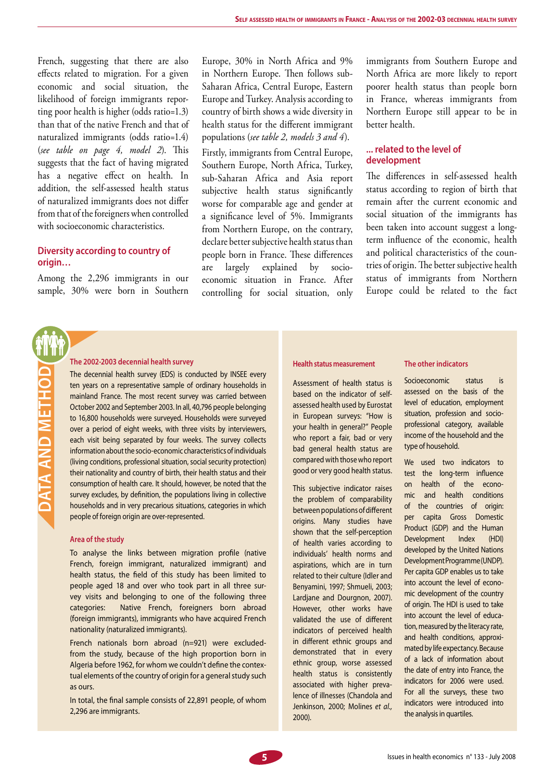French, suggesting that there are also effects related to migration. For a given economic and social situation, the likelihood of foreign immigrants reporting poor health is higher (odds ratio=1.3) than that of the native French and that of naturalized immigrants (odds ratio=1.4) (*see table on page 4, model 2*). This suggests that the fact of having migrated has a negative effect on health. In addition, the self-assessed health status of naturalized immigrants does not differ from that of the foreigners when controlled with socioeconomic characteristics.

#### **Diversity according to country of origin…**

Among the 2,296 immigrants in our sample, 30% were born in Southern

Europe, 30% in North Africa and 9% in Northern Europe. Then follows sub-Saharan Africa, Central Europe, Eastern Europe and Turkey. Analysis according to country of birth shows a wide diversity in health status for the different immigrant populations (*see table 2, models 3 and 4*).

Firstly, immigrants from Central Europe, Southern Europe, North Africa, Turkey, sub-Saharan Africa and Asia report subjective health status significantly worse for comparable age and gender at a significance level of 5%. Immigrants from Northern Europe, on the contrary, declare better subjective health status than people born in France. These differences are largely explained by socioeconomic situation in France. After controlling for social situation, only

immigrants from Southern Europe and North Africa are more likely to report poorer health status than people born in France, whereas immigrants from Northern Europe still appear to be in better health.

#### **... related to the level of development**

The differences in self-assessed health status according to region of birth that remain after the current economic and social situation of the immigrants has been taken into account suggest a longterm influence of the economic, health and political characteristics of the countries of origin. The better subjective health status of immigrants from Northern Europe could be related to the fact

#### **The 2002-2003 decennial health survey**

The decennial health survey (EDS) is conducted by INSEE every ten years on a representative sample of ordinary households in mainland France. The most recent survey was carried between October 2002 and September 2003. In all, 40,796 people belonging to 16,800 households were surveyed. Households were surveyed over a period of eight weeks, with three visits by interviewers, each visit being separated by four weeks. The survey collects information about the socio-economic characteristics of individuals (living conditions, professional situation, social security protection) their nationality and country of birth, their health status and their consumption of health care. It should, however, be noted that the survey excludes, by definition, the populations living in collective households and in very precarious situations, categories in which people of foreign origin are over-represented.

#### **Area of the study**

**DATA AND METHODATA AND METHOL** 

> To analyse the links between migration profile (native French, foreign immigrant, naturalized immigrant) and health status, the field of this study has been limited to people aged 18 and over who took part in all three survey visits and belonging to one of the following three categories: Native French, foreigners born abroad (foreign immigrants), immigrants who have acquired French nationality (naturalized immigrants).

> French nationals born abroad (n=921) were excludedfrom the study, because of the high proportion born in Algeria before 1962, for whom we couldn't define the contextual elements of the country of origin for a general study such as ours.

> In total, the final sample consists of 22,891 people, of whom 2,296 are immigrants.

#### **Health status measurement**

Assessment of health status is based on the indicator of selfassessed health used by Eurostat in European surveys: "How is your health in general?" People who report a fair, bad or very bad general health status are compared with those who report good or very good health status.

This subjective indicator raises the problem of comparability between populations of different origins. Many studies have shown that the self-perception of health varies according to individuals' health norms and aspirations, which are in turn related to their culture (Idler and Benyamini, 1997; Shmueli, 2003; Lardjane and Dourgnon, 2007). However, other works have validated the use of different indicators of perceived health in different ethnic groups and demonstrated that in every ethnic group, worse assessed health status is consistently associated with higher prevalence of illnesses (Chandola and Jenkinson, 2000; Molines *et al.,*  2000).

#### **The other indicators**

Socioeconomic status is assessed on the basis of the level of education, employment situation, profession and socioprofessional category, available income of the household and the type of household.

We used two indicators to test the long-term influence on health of the economic and health conditions of the countries of origin: per capita Gross Domestic Product (GDP) and the Human Development Index (HDI) developed by the United Nations Development Programme (UNDP). Per capita GDP enables us to take into account the level of economic development of the country of origin. The HDI is used to take into account the level of education, measured by the literacy rate, and health conditions, approximated by life expectancy. Because of a lack of information about the date of entry into France, the indicators for 2006 were used. For all the surveys, these two indicators were introduced into the analysis in quartiles.